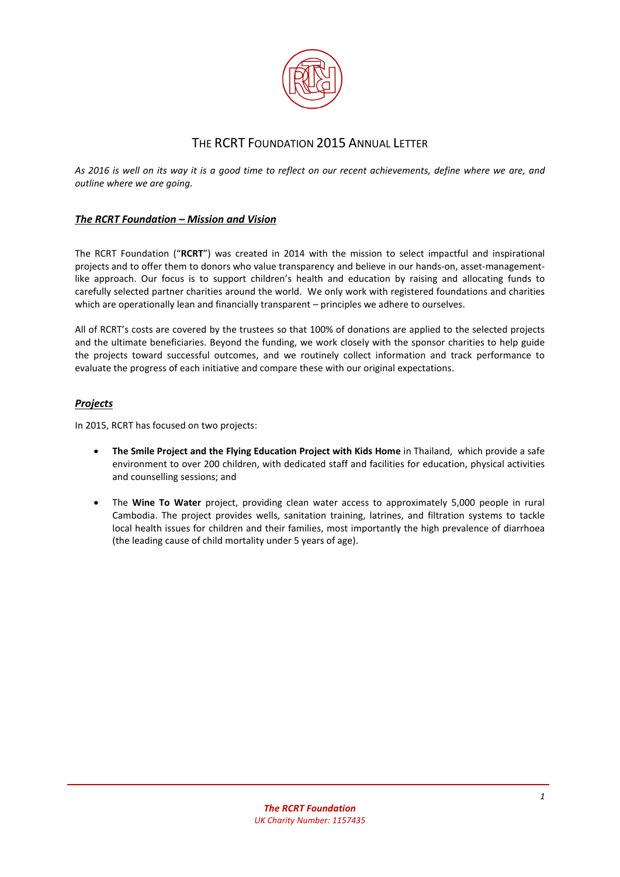

# THE RCRT FOUNDATION 2015 ANNUAL LETTER

*As 2016 is well on its way it is a good time to reflect on our recent achievements, define where we are, and outline where we are going.* 

# *The RCRT Foundation – Mission and Vision*

The RCRT Foundation ("**RCRT**") was created in 2014 with the mission to select impactful and inspirational projects and to offer them to donors who value transparency and believe in our hands-on, asset-managementlike approach. Our focus is to support children's health and education by raising and allocating funds to carefully selected partner charities around the world. We only work with registered foundations and charities which are operationally lean and financially transparent – principles we adhere to ourselves.

All of RCRT's costs are covered by the trustees so that 100% of donations are applied to the selected projects and the ultimate beneficiaries. Beyond the funding, we work closely with the sponsor charities to help guide the projects toward successful outcomes, and we routinely collect information and track performance to evaluate the progress of each initiative and compare these with our original expectations.

# *Projects*

In 2015, RCRT has focused on two projects:

- **•** The Smile Project and the Flying Education Project with Kids Home in Thailand, which provide a safe environment to over 200 children, with dedicated staff and facilities for education, physical activities and counselling sessions; and
- x The **Wine To Water** project, providing clean water access to approximately 5,000 people in rural Cambodia. The project provides wells, sanitation training, latrines, and filtration systems to tackle local health issues for children and their families, most importantly the high prevalence of diarrhoea (the leading cause of child mortality under 5 years of age).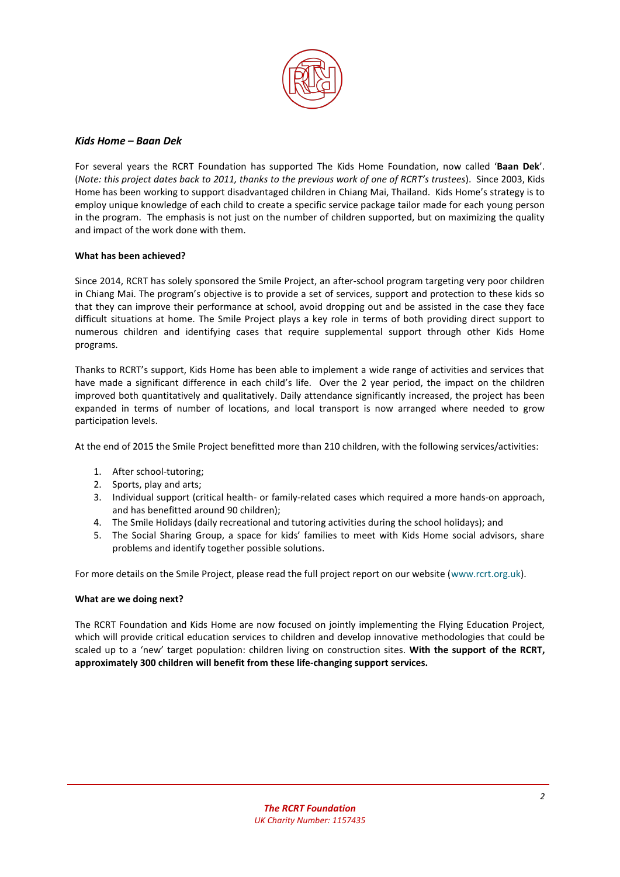

## *Kids Home – Baan Dek*

For several years the RCRT Foundation has supported The Kids Home Foundation, now called '**Baan Dek**'. (*Note: this project dates back to 2011, thanks to the previous work of one of RCRT's trustees*). Since 2003, Kids Home has been working to support disadvantaged children in Chiang Mai, Thailand. Kids Home's strategy is to employ unique knowledge of each child to create a specific service package tailor made for each young person in the program. The emphasis is not just on the number of children supported, but on maximizing the quality and impact of the work done with them.

#### **What has been achieved?**

Since 2014, RCRT has solely sponsored the Smile Project, an after-school program targeting very poor children in Chiang Mai. The program's objective is to provide a set of services, support and protection to these kids so that they can improve their performance at school, avoid dropping out and be assisted in the case they face difficult situations at home. The Smile Project plays a key role in terms of both providing direct support to numerous children and identifying cases that require supplemental support through other Kids Home programs.

Thanks to RCRT's support, Kids Home has been able to implement a wide range of activities and services that have made a significant difference in each child's life. Over the 2 year period, the impact on the children improved both quantitatively and qualitatively. Daily attendance significantly increased, the project has been expanded in terms of number of locations, and local transport is now arranged where needed to grow participation levels.

At the end of 2015 the Smile Project benefitted more than 210 children, with the following services/activities:

- 1. After school-tutoring;
- 2. Sports, play and arts;
- 3. Individual support (critical health- or family-related cases which required a more hands-on approach, and has benefitted around 90 children);
- 4. The Smile Holidays (daily recreational and tutoring activities during the school holidays); and
- 5. The Social Sharing Group, a space for kids' families to meet with Kids Home social advisors, share problems and identify together possible solutions.

For more details on the Smile Project, please read the full project report on our website [\(www.rcrt.org.uk\)](http://www.rcrt.org.uk/).

#### **What are we doing next?**

The RCRT Foundation and Kids Home are now focused on jointly implementing the Flying Education Project, which will provide critical education services to children and develop innovative methodologies that could be scaled up to a 'new' target population: children living on construction sites. **With the support of the RCRT, approximately 300 children will benefit from these life-changing support services.**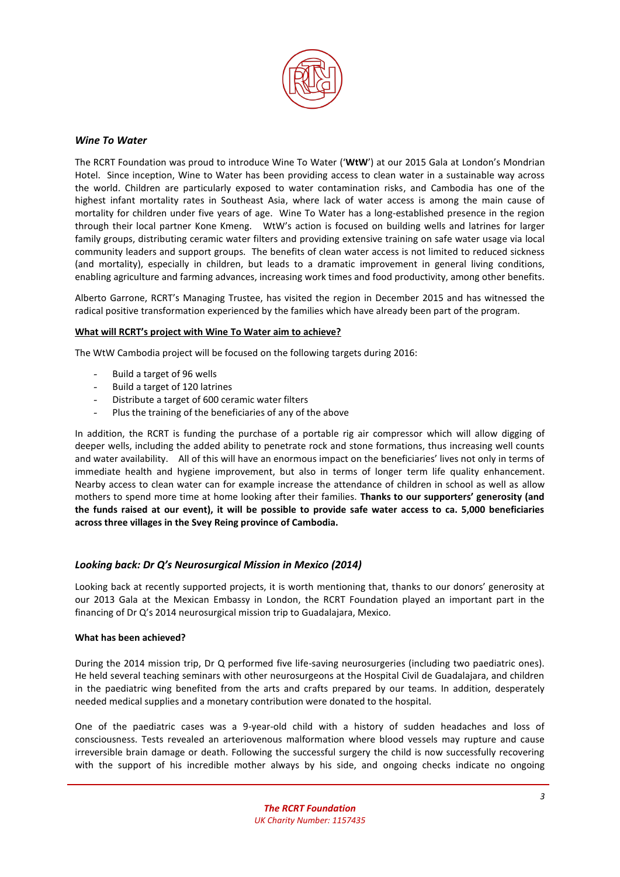

# *Wine To Water*

The RCRT Foundation was proud to introduce Wine To Water ('**WtW**') at our 2015 Gala at London's Mondrian Hotel. Since inception, Wine to Water has been providing access to clean water in a sustainable way across the world. Children are particularly exposed to water contamination risks, and Cambodia has one of the highest infant mortality rates in Southeast Asia, where lack of water access is among the main cause of mortality for children under five years of age. Wine To Water has a long-established presence in the region through their local partner Kone Kmeng. WtW's action is focused on building wells and latrines for larger family groups, distributing ceramic water filters and providing extensive training on safe water usage via local community leaders and support groups. The benefits of clean water access is not limited to reduced sickness (and mortality), especially in children, but leads to a dramatic improvement in general living conditions, enabling agriculture and farming advances, increasing work times and food productivity, among other benefits.

Alberto Garrone, RCRT's Managing Trustee, has visited the region in December 2015 and has witnessed the radical positive transformation experienced by the families which have already been part of the program.

#### **What will RCRT's project with Wine To Water aim to achieve?**

The WtW Cambodia project will be focused on the following targets during 2016:

- Build a target of 96 wells
- Build a target of 120 latrines
- Distribute a target of 600 ceramic water filters
- Plus the training of the beneficiaries of any of the above

In addition, the RCRT is funding the purchase of a portable rig air compressor which will allow digging of deeper wells, including the added ability to penetrate rock and stone formations, thus increasing well counts and water availability. All of this will have an enormous impact on the beneficiaries' lives not only in terms of immediate health and hygiene improvement, but also in terms of longer term life quality enhancement. Nearby access to clean water can for example increase the attendance of children in school as well as allow mothers to spend more time at home looking after their families. **Thanks to our supporters' generosity (and the funds raised at our event), it will be possible to provide safe water access to ca. 5,000 beneficiaries across three villages in the Svey Reing province of Cambodia.**

#### *Looking back: Dr Q's Neurosurgical Mission in Mexico (2014)*

Looking back at recently supported projects, it is worth mentioning that, thanks to our donors' generosity at our 2013 Gala at the Mexican Embassy in London, the RCRT Foundation played an important part in the financing of Dr Q's 2014 neurosurgical mission trip to Guadalajara, Mexico.

#### **What has been achieved?**

During the 2014 mission trip, Dr Q performed five life-saving neurosurgeries (including two paediatric ones). He held several teaching seminars with other neurosurgeons at the Hospital Civil de Guadalajara, and children in the paediatric wing benefited from the arts and crafts prepared by our teams. In addition, desperately needed medical supplies and a monetary contribution were donated to the hospital.

One of the paediatric cases was a 9-year-old child with a history of sudden headaches and loss of consciousness. Tests revealed an arteriovenous malformation where blood vessels may rupture and cause irreversible brain damage or death. Following the successful surgery the child is now successfully recovering with the support of his incredible mother always by his side, and ongoing checks indicate no ongoing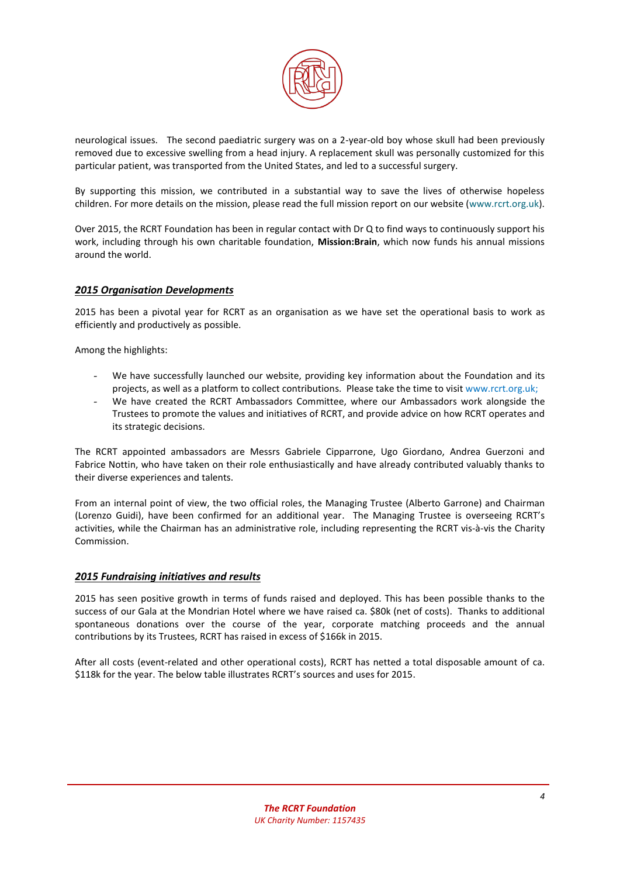

neurological issues. The second paediatric surgery was on a 2-year-old boy whose skull had been previously removed due to excessive swelling from a head injury. A replacement skull was personally customized for this particular patient, was transported from the United States, and led to a successful surgery.

By supporting this mission, we contributed in a substantial way to save the lives of otherwise hopeless children. For more details on the mission, please read the full mission report on our website [\(www.rcrt.org.uk\)](http://www.rcrt.org.uk/).

Over 2015, the RCRT Foundation has been in regular contact with Dr Q to find ways to continuously support his work, including through his own charitable foundation, **Mission:Brain**, which now funds his annual missions around the world.

## *2015 Organisation Developments*

2015 has been a pivotal year for RCRT as an organisation as we have set the operational basis to work as efficiently and productively as possible.

Among the highlights:

- We have successfully launched our website, providing key information about the Foundation and its projects, as well as a platform to collect contributions. Please take the time to visit [www.rcrt.org.uk;](http://www.rcrt.org.uk/)
- We have created the RCRT Ambassadors Committee, where our Ambassadors work alongside the Trustees to promote the values and initiatives of RCRT, and provide advice on how RCRT operates and its strategic decisions.

The RCRT appointed ambassadors are Messrs Gabriele Cipparrone, Ugo Giordano, Andrea Guerzoni and Fabrice Nottin, who have taken on their role enthusiastically and have already contributed valuably thanks to their diverse experiences and talents.

From an internal point of view, the two official roles, the Managing Trustee (Alberto Garrone) and Chairman (Lorenzo Guidi), have been confirmed for an additional year. The Managing Trustee is overseeing RCRT's activities, while the Chairman has an administrative role, including representing the RCRT vis-à-vis the Charity Commission.

#### *2015 Fundraising initiatives and results*

2015 has seen positive growth in terms of funds raised and deployed. This has been possible thanks to the success of our Gala at the Mondrian Hotel where we have raised ca. \$80k (net of costs). Thanks to additional spontaneous donations over the course of the year, corporate matching proceeds and the annual contributions by its Trustees, RCRT has raised in excess of \$166k in 2015.

After all costs (event-related and other operational costs), RCRT has netted a total disposable amount of ca. \$118k for the year. The below table illustrates RCRT's sources and uses for 2015.